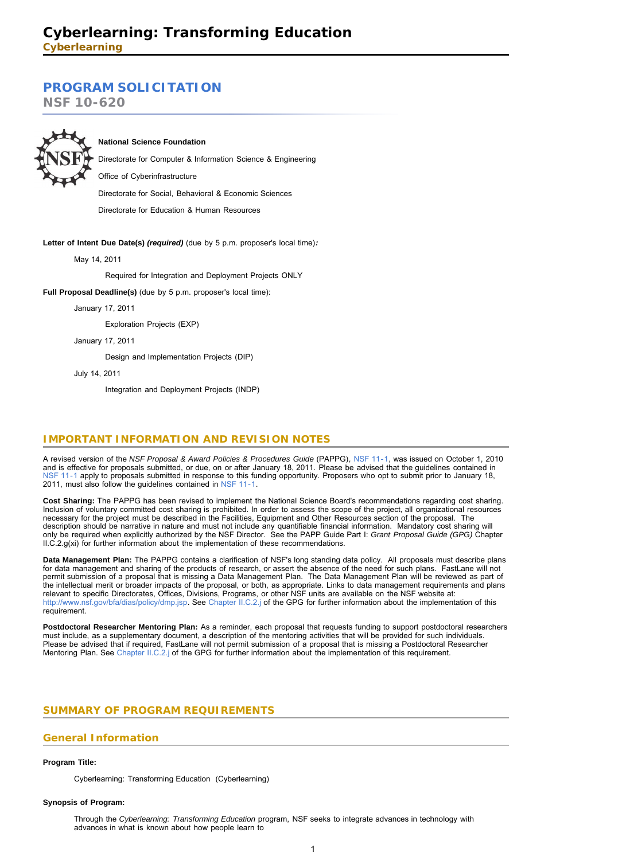# **[PROGRAM SOLICITATION](#page-2-0)**

**NSF 10-620**



## **National Science Foundation**

Directorate for Computer & Information Science & Engineering

Office of Cyberinfrastructure

Directorate for Social, Behavioral & Economic Sciences

Directorate for Education & Human Resources

## **Letter of Intent Due Date(s)** *(required)* (due by 5 p.m. proposer's local time)*:*

May 14, 2011

Required for Integration and Deployment Projects ONLY

**Full Proposal Deadline(s)** (due by 5 p.m. proposer's local time):

January 17, 2011

Exploration Projects (EXP)

January 17, 2011

Design and Implementation Projects (DIP)

July 14, 2011

Integration and Deployment Projects (INDP)

# **IMPORTANT INFORMATION AND REVISION NOTES**

A revised version of the *NSF Proposal & Award Policies & Procedures Guide* (PAPPG)*,* [NSF 11-1,](http://www.nsf.gov/publications/pub_summ.jsp?ods_key=nsf11001) was issued on October 1, 2010 and is effective for proposals submitted, or due, on or after January 18, 2011. Please be advised that the guidelines contained in [NSF 11-1](http://www.nsf.gov/publications/pub_summ.jsp?ods_key=nsf11001) apply to proposals submitted in response to this funding opportunity. Proposers who opt to submit prior to January 18, 2011, must also follow the guidelines contained in [NSF 11-1](http://www.nsf.gov/publications/pub_summ.jsp?ods_key=nsf11001).

**Cost Sharing:** The PAPPG has been revised to implement the National Science Board's recommendations regarding cost sharing. Inclusion of voluntary committed cost sharing is prohibited. In order to assess the scope of the project, all organizational resources necessary for the project must be described in the Facilities, Equipment and Other Resources section of the proposal. The description should be narrative in nature and must not include any quantifiable financial information. Mandatory cost sharing will only be required when explicitly authorized by the NSF Director. See the PAPP Guide Part I: *Grant Proposal Guide (GPG)* Chapter II.C.2.g(xi) for further information about the implementation of these recommendations.

**Data Management Plan:** The PAPPG contains a clarification of NSF's long standing data policy. All proposals must describe plans<br>for data management and sharing of the products of research, or assert the absence of the nee permit submission of a proposal that is missing a Data Management Plan. The Data Management Plan will be reviewed as part of the intellectual merit or broader impacts of the proposal, or both, as appropriate. Links to data management requirements and plans relevant to specific Directorates, Offices, Divisions, Programs, or other NSF units are available on the NSF website at: [http://www.nsf.gov/bfa/dias/policy/dmp.jsp.](http://www.nsf.gov/bfa/dias/policy/dmp.jsp) See [Chapter II.C.2.j](http://www.nsf.gov/pubs/policydocs/pappguide/nsf11001/gpg_2.jsp#IIC2j) of the GPG for further information about the implementation of this requirement.

Postdoctoral Researcher Mentoring Plan: As a reminder, each proposal that requests funding to support postdoctoral researchers must include, as a supplementary document, a description of the mentoring activities that will be provided for such individuals. Please be advised that if required, FastLane will not permit submission of a proposal that is missing a Postdoctoral Researcher Mentoring Plan. See [Chapter II.C.2.j](http://www.nsf.gov/pubs/policydocs/pappguide/nsf11001/gpg_2.jsp#IIC2j) of the GPG for further information about the implementation of this requirement.

# <span id="page-0-0"></span>**SUMMARY OF PROGRAM REQUIREMENTS**

## **General Information**

## **Program Title:**

Cyberlearning: Transforming Education (Cyberlearning)

#### **Synopsis of Program:**

Through the *Cyberlearning: Transforming Education* program, NSF seeks to integrate advances in technology with advances in what is known about how people learn to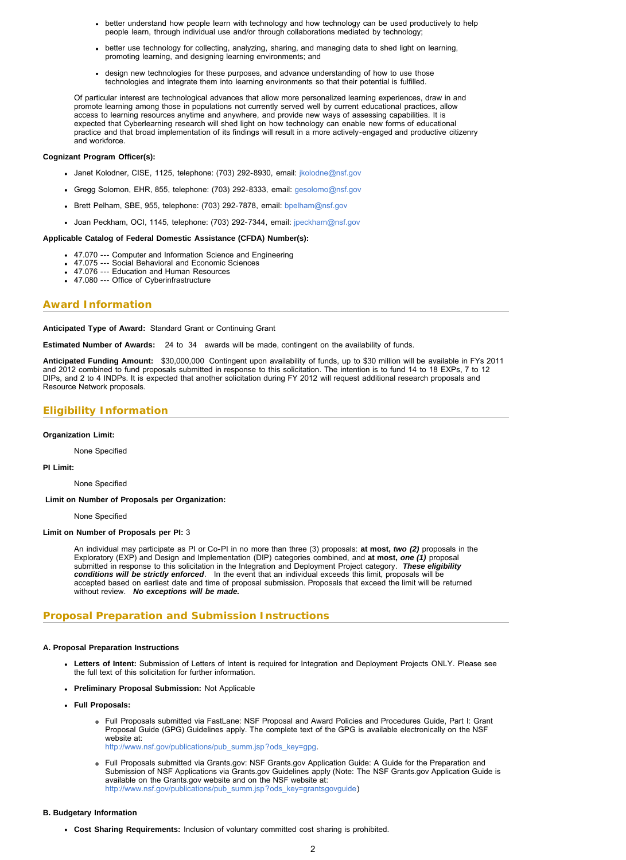- better understand how people learn with technology and how technology can be used productively to help people learn, through individual use and/or through collaborations mediated by technology;
- better use technology for collecting, analyzing, sharing, and managing data to shed light on learning, promoting learning, and designing learning environments; and
- design new technologies for these purposes, and advance understanding of how to use those technologies and integrate them into learning environments so that their potential is fulfilled.

Of particular interest are technological advances that allow more personalized learning experiences, draw in and promote learning among those in populations not currently served well by current educational practices, allow access to learning resources anytime and anywhere, and provide new ways of assessing capabilities. It is expected that Cyberlearning research will shed light on how technology can enable new forms of educational practice and that broad implementation of its findings will result in a more actively-engaged and productive citizenry and workforce.

#### **Cognizant Program Officer(s):**

- Janet Kolodner, CISE, 1125, telephone: (703) 292-8930, email: [jkolodne@nsf.gov](mailto:jkolodne@nsf.gov)
- Gregg Solomon, EHR, 855, telephone: (703) 292-8333, email: [gesolomo@nsf.gov](mailto:gesolomo@nsf.gov)
- Brett Pelham, SBE, 955, telephone: (703) 292-7878, email: [bpelham@nsf.gov](mailto:bpelham@nsf.gov)
- Joan Peckham, OCI, 1145, telephone: (703) 292-7344, email: [jpeckham@nsf.gov](mailto:jpeckham@nsf.gov)

#### **Applicable Catalog of Federal Domestic Assistance (CFDA) Number(s):**

- 47.070 --- Computer and Information Science and Engineering
- 47.075 --- Social Behavioral and Economic Sciences
- 47.076 --- Education and Human Resources
- 47.080 --- Office of Cyberinfrastructure

## **Award Information**

#### **Anticipated Type of Award:** Standard Grant or Continuing Grant

**Estimated Number of Awards:** 24 to 34 awards will be made, contingent on the availability of funds.

**Anticipated Funding Amount:** \$30,000,000 Contingent upon availability of funds, up to \$30 million will be available in FYs 2011 and 2012 combined to fund proposals submitted in response to this solicitation. The intention is to fund 14 to 18 EXPs, 7 to 12 DIPs, and 2 to 4 INDPs. It is expected that another solicitation during FY 2012 will request additional research proposals and Resource Network proposals.

# **Eligibility Information**

#### **Organization Limit:**

None Specified

#### **PI Limit:**

None Specified

 **Limit on Number of Proposals per Organization:**

None Specified

#### **Limit on Number of Proposals per PI:** 3

An individual may participate as PI or Co-PI in no more than three (3) proposals: **at most,** *two (2)* proposals in the Exploratory (EXP) and Design and Implementation (DIP) categories combined, and **at most,** *one (1)* proposal submitted in response to this solicitation in the Integration and Deployment Project category. *These eligibility* conditions will be strictly enforced. In the event that an individual exceeds this limit, proposals will be<br>accepted based on earliest date and time of proposal submission. Proposals that exceed the limit will be returned without review. *No exceptions will be made.*

# **Proposal Preparation and Submission Instructions**

#### **A. Proposal Preparation Instructions**

- **Letters of Intent:** Submission of Letters of Intent is required for Integration and Deployment Projects ONLY. Please see the full text of this solicitation for further information.
- **Preliminary Proposal Submission:** Not Applicable
- **Full Proposals:**
	- Full Proposals submitted via FastLane: NSF Proposal and Award Policies and Procedures Guide, Part I: Grant Proposal Guide (GPG) Guidelines apply. The complete text of the GPG is available electronically on the NSF website at: [http://www.nsf.gov/publications/pub\\_summ.jsp?ods\\_key=gpg](http://www.nsf.gov/publications/pub_summ.jsp?ods_key=gpg).
	- Full Proposals submitted via Grants.gov: NSF Grants.gov Application Guide: A Guide for the Preparation and Submission of NSF Applications via Grants.gov Guidelines apply (Note: The NSF Grants.gov Application Guide is available on the Grants.gov website and on the NSF website at: [http://www.nsf.gov/publications/pub\\_summ.jsp?ods\\_key=grantsgovguide\)](http://www.nsf.gov/publications/pub_summ.jsp?ods_key=grantsgovguide)

#### **B. Budgetary Information**

**Cost Sharing Requirements:** Inclusion of voluntary committed cost sharing is prohibited.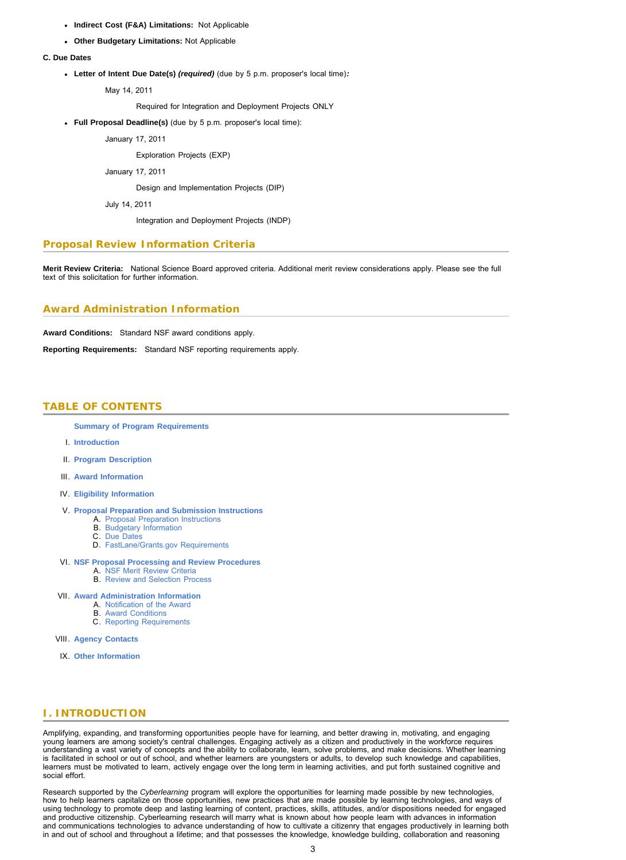- **Indirect Cost (F&A) Limitations:** Not Applicable
- **Other Budgetary Limitations:** Not Applicable

#### **C. Due Dates**

**Letter of Intent Due Date(s)** *(required)* (due by 5 p.m. proposer's local time)*:*

May 14, 2011

Required for Integration and Deployment Projects ONLY

**Full Proposal Deadline(s)** (due by 5 p.m. proposer's local time):

January 17, 2011

Exploration Projects (EXP)

January 17, 2011

Design and Implementation Projects (DIP)

July 14, 2011

Integration and Deployment Projects (INDP)

# **Proposal Review Information Criteria**

**Merit Review Criteria:** National Science Board approved criteria. Additional merit review considerations apply. Please see the full text of this solicitation for further information.

## **Award Administration Information**

**Award Conditions:** Standard NSF award conditions apply.

<span id="page-2-0"></span>**Reporting Requirements:** Standard NSF reporting requirements apply.

# **TABLE OF CONTENTS**

**[Summary of Program Requirements](#page-0-0)**

- I. **[Introduction](#page-2-1)**
- II. **[Program Description](#page-3-0)**
- III. **[Award Information](#page-5-0)**
- IV. **[Eligibility Information](#page-5-1)**
- V. **[Proposal Preparation and Submission Instructions](#page-5-2)**
	- A. [Proposal Preparation Instructions](#page-5-2)
	- B. [Budgetary Information](#page-7-0)
	- C. [Due Dates](#page-7-1)
	- D. [FastLane/Grants.gov Requirements](#page-7-2)
- VI. **[NSF Proposal Processing and Review Procedures](#page-7-3)** A. [NSF Merit Review Criteria](#page-8-0)
	- B. [Review and Selection Process](#page-8-1)
- VII. **[Award Administration Information](#page-8-2)**
	- A. [Notification of the Award](#page-9-0)
		- B. [Award Conditions](#page-9-1) C. [Reporting Requirements](#page-9-2)
		-

VIII. **[Agency Contacts](#page-9-3)**

IX. **[Other Information](#page-10-0)**

# <span id="page-2-1"></span>**I. INTRODUCTION**

Amplifying, expanding, and transforming opportunities people have for learning, and better drawing in, motivating, and engaging young learners are among society's central challenges. Engaging actively as a citizen and productively in the workforce requires understanding a vast variety of concepts and the ability to collaborate, learn, solve problems, and make decisions. Whether learning is facilitated in school or out of school, and whether learners are youngsters or adults, to develop such knowledge and capabilities, learners must be motivated to learn, actively engage over the long term in learning activities, and put forth sustained cognitive and social effort.

Research supported by the *Cyberlearning* program will explore the opportunities for learning made possible by new technologies,<br>how to help learners capitalize on those opportunities, new practices that are made possible using technology to promote deep and lasting learning of content, practices, skills, attitudes, and/or dispositions needed for engaged<br>and productive citizenship. Cyberlearning research will marry what is known about how p and communications technologies to advance understanding of how to cultivate a citizenry that engages productively in learning both in and out of school and throughout a lifetime; and that possesses the knowledge, knowledge building, collaboration and reasoning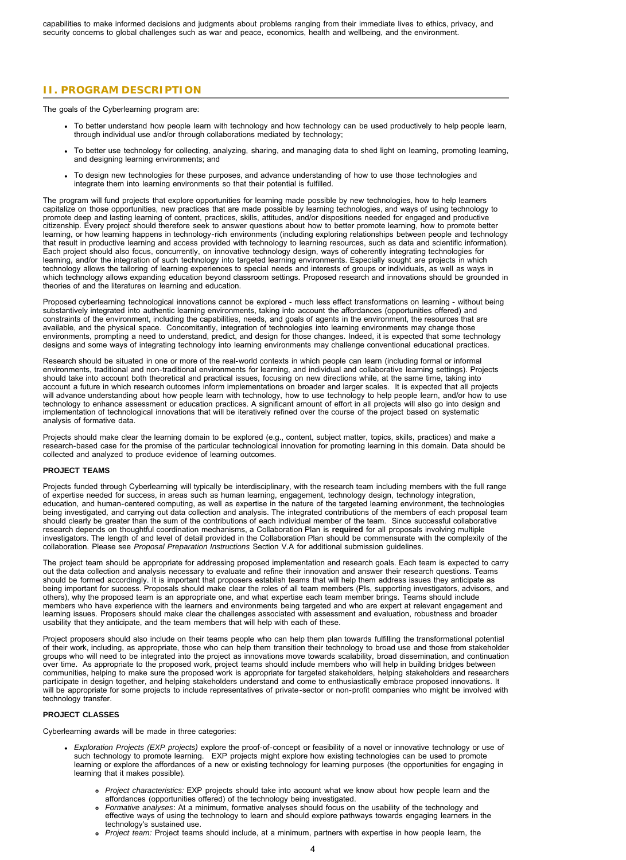# <span id="page-3-0"></span>**II. PROGRAM DESCRIPTION**

The goals of the Cyberlearning program are:

- To better understand how people learn with technology and how technology can be used productively to help people learn, through individual use and/or through collaborations mediated by technology;
- To better use technology for collecting, analyzing, sharing, and managing data to shed light on learning, promoting learning, and designing learning environments; and
- To design new technologies for these purposes, and advance understanding of how to use those technologies and integrate them into learning environments so that their potential is fulfilled.

The program will fund projects that explore opportunities for learning made possible by new technologies, how to help learners capitalize on those opportunities, new practices that are made possible by learning technologies, and ways of using technology to promote deep and lasting learning of content, practices, skills, attitudes, and/or dispositions needed for engaged and productive citizenship. Every project should therefore seek to answer questions about how to better promote learning, how to promote better learning, or how learning happens in technology-rich environments (including exploring relationships between people and technology that result in productive learning and access provided with technology to learning resources, such as data and scientific information). Each project should also focus, concurrently, on innovative technology design, ways of coherently integrating technologies for learning, and/or the integration of such technology into targeted learning environments. Especially sought are projects in which technology allows the tailoring of learning experiences to special needs and interests of groups or individuals, as well as ways in which technology allows expanding education beyond classroom settings. Proposed research and innovations should be grounded in theories of and the literatures on learning and education.

Proposed cyberlearning technological innovations cannot be explored - much less effect transformations on learning - without being substantively integrated into authentic learning environments, taking into account the affordances (opportunities offered) and<br>constraints of the environment, including the capabilities, needs, and goals of agents in the e available, and the physical space. Concomitantly, integration of technologies into learning environments may change those<br>environments, prompting a need to understand, predict, and design for those changes. Indeed, it is designs and some ways of integrating technology into learning environments may challenge conventional educational practices.

Research should be situated in one or more of the real-world contexts in which people can learn (including formal or informal environments, traditional and non-traditional environments for learning, and individual and collaborative learning settings). Projects should take into account both theoretical and practical issues, focusing on new directions while, at the same time, taking into account a future in which research outcomes inform implementations on broader and larger scales. It is expected that all projects will advance understanding about how people learn with technology, how to use technology to help people learn, and/or how to use<br>technology to enhance assessment or education practices. A significant amount of effort in al implementation of technological innovations that will be iteratively refined over the course of the project based on systematic analysis of formative data.

Projects should make clear the learning domain to be explored (e.g., content, subject matter, topics, skills, practices) and make a research-based case for the promise of the particular technological innovation for promoting learning in this domain. Data should be collected and analyzed to produce evidence of learning outcomes.

## **PROJECT TEAMS**

Projects funded through Cyberlearning will typically be interdisciplinary, with the research team including members with the full range of expertise needed for success, in areas such as human learning, engagement, technology design, technology integration, education, and human-centered computing, as well as expertise in the nature of the targeted learning environment, the technologies being investigated, and carrying out data collection and analysis. The integrated contributions of the members of each proposal team should clearly be greater than the sum of the contributions of each individual member of the team. Since successful collaborative research depends on thoughtful coordination mechanisms, a Collaboration Plan is **required** for all proposals involving multiple investigators. The length of and level of detail provided in the Collaboration Plan should be commensurate with the complexity of the collaboration. Please see *Proposal Preparation Instructions* Section V.A for additional submission guidelines.

The project team should be appropriate for addressing proposed implementation and research goals. Each team is expected to carry out the data collection and analysis necessary to evaluate and refine their innovation and answer their research questions. Teams should be formed accordingly. It is important that proposers establish teams that will help them address issues they anticipate as<br>being important for success. Proposals should make clear the roles of all team members (PIs others), why the proposed team is an appropriate one, and what expertise each team member brings. Teams should include<br>members who have experience with the learners and environments being targeted and who are expert at rel usability that they anticipate, and the team members that will help with each of these.

Project proposers should also include on their teams people who can help them plan towards fulfilling the transformational potential of their work, including, as appropriate, those who can help them transition their technology to broad use and those from stakeholder groups who will need to be integrated into the project as innovations move towards scalability, broad dissemination, and continuation over time. As appropriate to the proposed work, project teams should include members who will help in building bridges between communities, helping to make sure the proposed work is appropriate for targeted stakeholders, helping stakeholders and researchers participate in design together, and helping stakeholders understand and come to enthusiastically embrace proposed innovations. It will be appropriate for some projects to include representatives of private-sector or non-profit companies who might be involved with technology transfer.

# **PROJECT CLASSES**

Cyberlearning awards will be made in three categories:

- *Exploration Projects (EXP projects)* explore the proof-of-concept or feasibility of a novel or innovative technology or use of such technology to promote learning. EXP projects might explore how existing technologies can be used to promote<br>learning or explore the affordances of a new or existing technology for learning purposes (the opportunities learning that it makes possible).
	- *Project characteristics:* EXP projects should take into account what we know about how people learn and the affordances (opportunities offered) of the technology being investigated.
	- *Formative analyses*: At a minimum, formative analyses should focus on the usability of the technology and effective ways of using the technology to learn and should explore pathways towards engaging learners in the technology's sustained use.
	- *Project team:* Project teams should include, at a minimum, partners with expertise in how people learn, the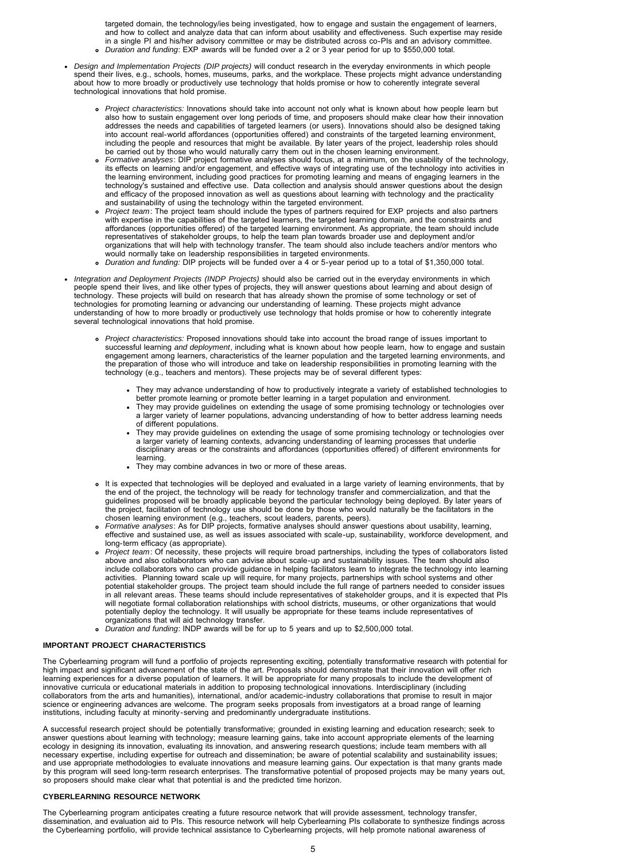targeted domain, the technology/ies being investigated, how to engage and sustain the engagement of learners, and how to collect and analyze data that can inform about usability and effectiveness. Such expertise may reside in a single PI and his/her advisory committee or may be distributed across co-PIs and an advisory committee. *Duration and funding*: EXP awards will be funded over a 2 or 3 year period for up to \$550,000 total.

- *Design and Implementation Projects (DIP projects)* will conduct research in the everyday environments in which people spend their lives, e.g., schools, homes, museums, parks, and the workplace. These projects might advance understanding<br>about how to more broadly or productively use technology that holds promise or how to coherently integr technological innovations that hold promise.
	- *Project characteristics:* Innovations should take into account not only what is known about how people learn but also how to sustain engagement over long periods of time, and proposers should make clear how their innovation addresses the needs and capabilities of targeted learners (or users). Innovations should also be designed taking into account real-world affordances (opportunities offered) and constraints of the targeted learning environment, including the people and resources that might be available. By later years of the project, leadership roles should be carried out by those who would naturally carry them out in the chosen learning environment.
	- *Formative analyses*: DIP project formative analyses should focus, at a minimum, on the usability of the technology, its effects on learning and/or engagement, and effective ways of integrating use of the technology into activities in the learning environment, including good practices for promoting learning and means of engaging learners in the technology's sustained and effective use. Data collection and analysis should answer questions about the design and efficacy of the proposed innovation as well as questions about learning with technology and the practicality and sustainability of using the technology within the targeted environment.
	- *Project team*: The project team should include the types of partners required for EXP projects and also partners with expertise in the capabilities of the targeted learners, the targeted learning domain, and the constraints and affordances (opportunities offered) of the targeted learning environment. As appropriate, the team should include representatives of stakeholder groups, to help the team plan towards broader use and deployment and/or organizations that will help with technology transfer. The team should also include teachers and/or mentors who would normally take on leadership responsibilities in targeted environments.
	- *Duration and funding:* DIP projects will be funded over a 4 or 5-year period up to a total of \$1,350,000 total.
- Integration and Deployment Projects (INDP Projects) should also be carried out in the everyday environments in which<br>people spend their lives, and like other types of projects, they will answer questions about learning and technology. These projects will build on research that has already shown the promise of some technology or set of technologies for promoting learning or advancing our understanding of learning. These projects might advance<br>understanding of how to more broadly or productively use technology that holds promise or how to coherently integ several technological innovations that hold promise.
	- *Project characteristics:* Proposed innovations should take into account the broad range of issues important to successful learning *and deployment*, including what is known about how people learn, how to engage and sustain engagement among learners, characteristics of the learner population and the targeted learning environments, and the preparation of those who will introduce and take on leadership responsibilities in promoting learning with the technology (e.g., teachers and mentors). These projects may be of several different types:
		- They may advance understanding of how to productively integrate a variety of established technologies to better promote learning or promote better learning in a target population and environment.
		- They may provide guidelines on extending the usage of some promising technology or technologies over a larger variety of learner populations, advancing understanding of how to better address learning needs of different populations.
		- They may provide guidelines on extending the usage of some promising technology or technologies over a larger variety of learning contexts, advancing understanding of learning processes that underlie disciplinary areas or the constraints and affordances (opportunities offered) of different environments for earning.
		- They may combine advances in two or more of these areas.
	- It is expected that technologies will be deployed and evaluated in a large variety of learning environments, that by the end of the project, the technology will be ready for technology transfer and commercialization, and that the guidelines proposed will be broadly applicable beyond the particular technology being deployed. By later years of the project, facilitation of technology use should be done by those who would naturally be the facilitators in the chosen learning environment (e.g., teachers, scout leaders, parents, peers).
	- *Formative analyses*: As for DIP projects, formative analyses should answer questions about usability, learning, effective and sustained use, as well as issues associated with scale-up, sustainability, workforce development, and long-term efficacy (as appropriate).
	- *Project team*: Of necessity, these projects will require broad partnerships, including the types of collaborators listed above and also collaborators who can advise about scale-up and sustainability issues. The team should also include collaborators who can provide guidance in helping facilitators learn to integrate the technology into learning activities. Planning toward scale up will require, for many projects, partnerships with school systems and other potential stakeholder groups. The project team should include the full range of partners needed to consider issues in all relevant areas. These teams should include representatives of stakeholder groups, and it is expected that PIs will negotiate formal collaboration relationships with school districts, museums, or other organizations that would potentially deploy the technology. It will usually be appropriate for these teams include representatives of organizations that will aid technology transfer.
	- *Duration and funding*: INDP awards will be for up to 5 years and up to \$2,500,000 total.

#### **IMPORTANT PROJECT CHARACTERISTICS**

The Cyberlearning program will fund a portfolio of projects representing exciting, potentially transformative research with potential for<br>high impact and significant advancement of the state of the art. Proposals should de learning experiences for a diverse population of learners. It will be appropriate for many proposals to include the development of innovative curricula or educational materials in addition to proposing technological innovations. Interdisciplinary (including collaborators from the arts and humanities), international, and/or academic-industry collaborations that promise to result in major science or engineering advances are welcome. The program seeks proposals from investigators at a broad range of learning institutions, including faculty at minority-serving and predominantly undergraduate institutions.

A successful research project should be potentially transformative; grounded in existing learning and education research; seek to<br>answer questions about learning with technology; measure learning gains, take into account a by this program will seed long-term research enterprises. The transformative potential of proposed projects may be many years out, so proposers should make clear what that potential is and the predicted time horizon.

#### **CYBERLEARNING RESOURCE NETWORK**

The Cyberlearning program anticipates creating a future resource network that will provide assessment, technology transfer, dissemination, and evaluation aid to Pls. This resource network will help Cyberlearning Pls collaborate to synthesize findings across<br>the Cyberlearning portfolio, will provide technical assistance to Cyberlearning projects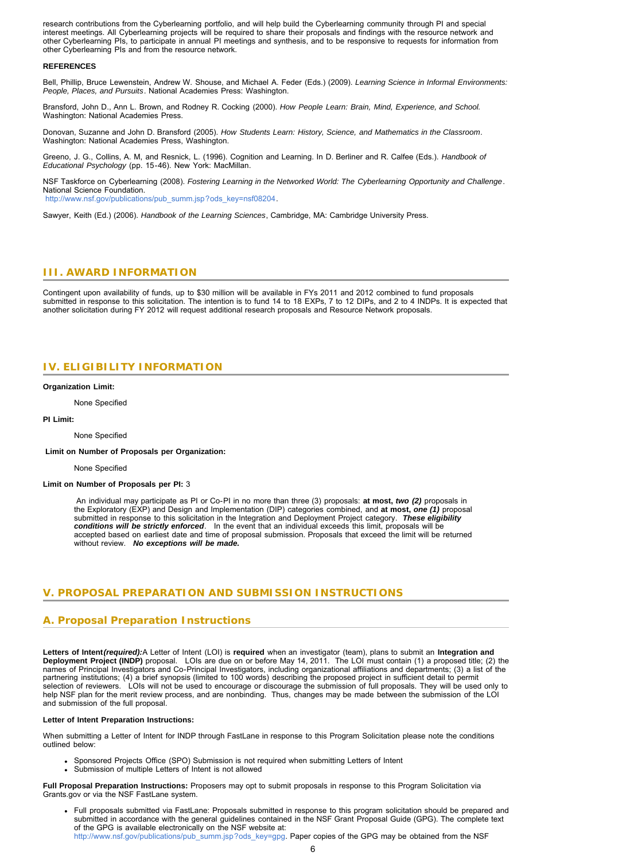research contributions from the Cyberlearning portfolio, and will help build the Cyberlearning community through PI and special interest meetings. All Cyberlearning projects will be required to share their proposals and findings with the resource network and other Cyberlearning PIs, to participate in annual PI meetings and synthesis, and to be responsive to requests for information from other Cyberlearning PIs and from the resource network.

### **REFERENCES**

Bell, Phillip, Bruce Lewenstein, Andrew W. Shouse, and Michael A. Feder (Eds.) (2009). *Learning Science in Informal Environments: People, Places, and Pursuits*. National Academies Press: Washington.

Bransford, John D., Ann L. Brown, and Rodney R. Cocking (2000). *How People Learn: Brain, Mind, Experience, and School.* Washington: National Academies Press.

Donovan, Suzanne and John D. Bransford (2005). *How Students Learn: History, Science, and Mathematics in the Classroom*. Washington: National Academies Press, Washington.

Greeno, J. G., Collins, A. M, and Resnick, L. (1996). Cognition and Learning. In D. Berliner and R. Calfee (Eds.). *Handbook of Educational Psychology* (pp. 15-46). New York: MacMillan.

NSF Taskforce on Cyberlearning (2008). *Fostering Learning in the Networked World: The Cyberlearning Opportunity and Challenge*. National Science Foundation. [http://www.nsf.gov/publications/pub\\_summ.jsp?ods\\_key=nsf08204](http://www.nsf.gov/publications/pub_summ.jsp?ods_key=nsf08204).

<span id="page-5-0"></span>Sawyer, Keith (Ed.) (2006). *Handbook of the Learning Sciences*, Cambridge, MA: Cambridge University Press.

# **III. AWARD INFORMATION**

<span id="page-5-1"></span>Contingent upon availability of funds, up to \$30 million will be available in FYs 2011 and 2012 combined to fund proposals submitted in response to this solicitation. The intention is to fund 14 to 18 EXPs, 7 to 12 DIPs, and 2 to 4 INDPs. It is expected that another solicitation during FY 2012 will request additional research proposals and Resource Network proposals.

# **IV. ELIGIBILITY INFORMATION**

#### **Organization Limit:**

None Specified

**PI Limit:**

None Specified

 **Limit on Number of Proposals per Organization:**

None Specified

#### **Limit on Number of Proposals per PI:** 3

 An individual may participate as PI or Co-PI in no more than three (3) proposals: **at most,** *two (2)* proposals in the Exploratory (EXP) and Design and Implementation (DIP) categories combined, and **at most,** *one (1)* proposal submitted in response to this solicitation in the Integration and Deployment Project category. *These eligibility* conditions will be strictly enforced. In the event that an individual exceeds this limit, proposals will be<br>accepted based on earliest date and time of proposal submission. Proposals that exceed the limit will be returned without review. *No exceptions will be made.*

# <span id="page-5-2"></span>**V. PROPOSAL PREPARATION AND SUBMISSION INSTRUCTIONS**

# **A. Proposal Preparation Instructions**

**Letters of Intent***(required):*A Letter of Intent (LOI) is **required** when an investigator (team), plans to submit an **Integration and Deployment Project (INDP)** proposal. LOIs are due on or before May 14, 2011. The LOI must contain (1) a proposed title; (2) the names of Principal Investigators and Co-Principal Investigators, including organizational affiliations and departments; (3) a list of the partnering institutions; (4) a brief synopsis (limited to 100 words) describing the proposed project in sufficient detail to permit selection of reviewers. LOIs will not be used to encourage or discourage the submission of full proposals. They will be used only to help NSF plan for the merit review process, and are nonbinding. Thus, changes may be made between the submission of the LOI and submission of the full proposal.

#### **Letter of Intent Preparation Instructions:**

When submitting a Letter of Intent for INDP through FastLane in response to this Program Solicitation please note the conditions outlined below:

- Sponsored Projects Office (SPO) Submission is not required when submitting Letters of Intent
- Submission of multiple Letters of Intent is not allowed

**Full Proposal Preparation Instructions:** Proposers may opt to submit proposals in response to this Program Solicitation via Grants.gov or via the NSF FastLane system.

Full proposals submitted via FastLane: Proposals submitted in response to this program solicitation should be prepared and submitted in accordance with the general guidelines contained in the NSF Grant Proposal Guide (GPG). The complete text of the GPG is available electronically on the NSF website at: [http://www.nsf.gov/publications/pub\\_summ.jsp?ods\\_key=gpg](http://www.nsf.gov/publications/pub_summ.jsp?ods_key=gpg). Paper copies of the GPG may be obtained from the NSF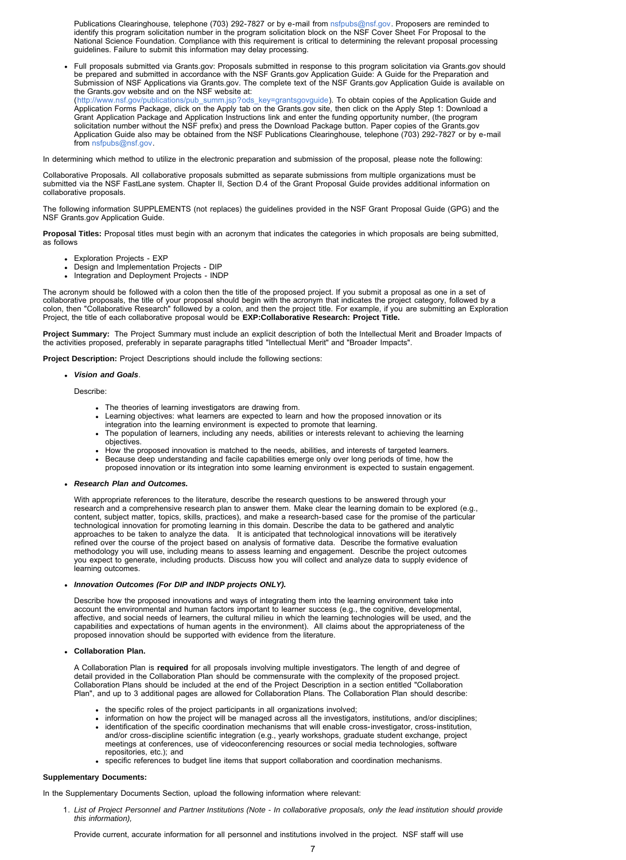Publications Clearinghouse, telephone (703) 292-7827 or by e-mail from [nsfpubs@nsf.gov.](mailto:nsfpubs@nsf.gov) Proposers are reminded to identify this program solicitation number in the program solicitation block on the NSF Cover Sheet For Proposal to the National Science Foundation. Compliance with this requirement is critical to determining the relevant proposal processing guidelines. Failure to submit this information may delay processing.

Full proposals submitted via Grants.gov: Proposals submitted in response to this program solicitation via Grants.gov should be prepared and submitted in accordance with the NSF Grants.gov Application Guide: A Guide for the Preparation and Submission of NSF Applications via Grants.gov. The complete text of the NSF Grants.gov Application Guide is available on the Grants.gov website and on the NSF website at: ([http://www.nsf.gov/publications/pub\\_summ.jsp?ods\\_key=grantsgovguide\)](http://www.nsf.gov/publications/pub_summ.jsp?ods_key=grantsgovguide). To obtain copies of the Application Guide and

Application Forms Package, click on the Apply tab on the Grants.gov site, then click on the Apply Step 1: Download a Grant Application Package and Application Instructions link and enter the funding opportunity number, (the program solicitation number without the NSF prefix) and press the Download Package button. Paper copies of the Grants.gov Application Guide also may be obtained from the NSF Publications Clearinghouse, telephone (703) 292-7827 or by e-mail from [nsfpubs@nsf.gov.](mailto:nsfpubs@nsf.gov)

In determining which method to utilize in the electronic preparation and submission of the proposal, please note the following:

Collaborative Proposals. All collaborative proposals submitted as separate submissions from multiple organizations must be submitted via the NSF FastLane system. Chapter II, Section D.4 of the Grant Proposal Guide provides additional information on collaborative proposals.

The following information SUPPLEMENTS (not replaces) the guidelines provided in the NSF Grant Proposal Guide (GPG) and the NSF Grants.gov Application Guide.

**Proposal Titles:** Proposal titles must begin with an acronym that indicates the categories in which proposals are being submitted, as follows

- Exploration Projects EXP
- Design and Implementation Projects DIP
- Integration and Deployment Projects INDP

The acronym should be followed with a colon then the title of the proposed project. If you submit a proposal as one in a set of collaborative proposals, the title of your proposal should begin with the acronym that indicates the project category, followed by a colon, then "Collaborative Research" followed by a colon, and then the project title. For example, if you are submitting an Exploration Project, the title of each collaborative proposal would be **EXP:Collaborative Research: Project Title.** 

**Project Summary:** The Project Summary must include an explicit description of both the Intellectual Merit and Broader Impacts of the activities proposed, preferably in separate paragraphs titled "Intellectual Merit" and "Broader Impacts".

**Project Description:** Project Descriptions should include the following sections:

#### *Vision and Goals*.

Describe:

- 
- The theories of learning investigators are drawing from. Learning objectives: what learners are expected to learn and how the proposed innovation or its
- integration into the learning environment is expected to promote that learning. The population of learners, including any needs, abilities or interests relevant to achieving the learning objectives.
- How the proposed innovation is matched to the needs, abilities, and interests of targeted learners.
- Because deep understanding and facile capabilities emerge only over long periods of time, how the
- proposed innovation or its integration into some learning environment is expected to sustain engagement.

#### *Research Plan and Outcomes.*

With appropriate references to the literature, describe the research questions to be answered through your research and a comprehensive research plan to answer them. Make clear the learning domain to be explored (e.g.,<br>content, subject matter, topics, skills, practices), and make a research-based case for the promise of the par technological innovation for promoting learning in this domain. Describe the data to be gathered and analytic<br>approaches to be taken to analyze the data. It is anticipated that technological innovations will be iteratively methodology you will use, including means to assess learning and engagement. Describe the project outcomes you expect to generate, including products. Discuss how you will collect and analyze data to supply evidence of learning outcomes.

#### *Innovation Outcomes (For DIP and INDP projects ONLY).*

Describe how the proposed innovations and ways of integrating them into the learning environment take into account the environmental and human factors important to learner success (e.g., the cognitive, developmental, affective, and social needs of learners, the cultural milieu in which the learning technologies will be used, and the capabilities and expectations of human agents in the environment). All claims about the appropriateness of the proposed innovation should be supported with evidence from the literature.

**Collaboration Plan.**

A Collaboration Plan is **required** for all proposals involving multiple investigators. The length of and degree of detail provided in the Collaboration Plan should be commensurate with the complexity of the proposed project. Collaboration Plans should be included at the end of the Project Description in a section entitled "Collaboration Plan", and up to 3 additional pages are allowed for Collaboration Plans. The Collaboration Plan should describe:

- the specific roles of the project participants in all organizations involved;
- information on how the project will be managed across all the investigators, institutions, and/or disciplines;
- identification of the specific coordination mechanisms that will enable cross-investigator, cross-institution, and/or cross-discipline scientific integration (e.g., yearly workshops, graduate student exchange, project meetings at conferences, use of videoconferencing resources or social media technologies, software repositories, etc.); and
- specific references to budget line items that support collaboration and coordination mechanisms.

#### **Supplementary Documents:**

In the Supplementary Documents Section, upload the following information where relevant:

1. *List of Project Personnel and Partner Institutions (Note - In collaborative proposals, only the lead institution should provide this information),*

Provide current, accurate information for all personnel and institutions involved in the project. NSF staff will use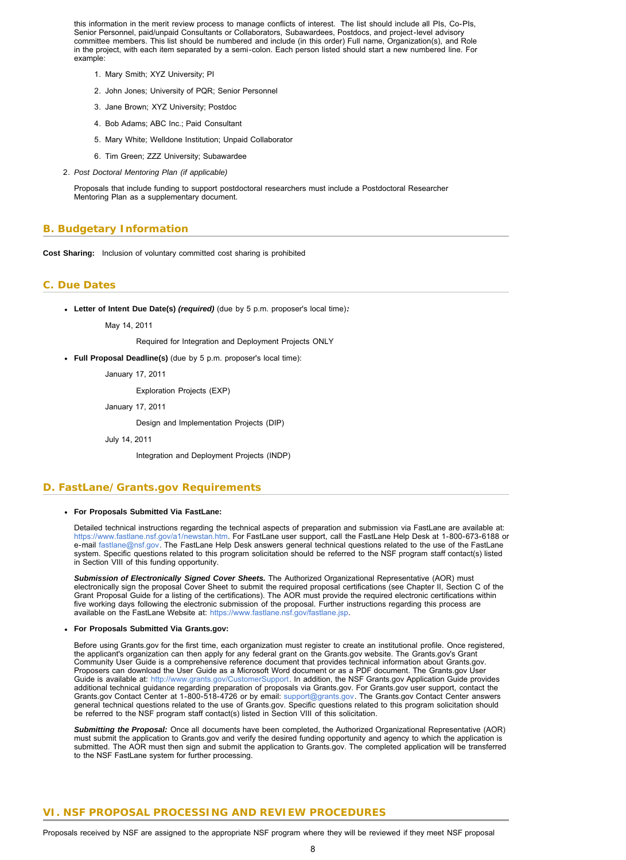this information in the merit review process to manage conflicts of interest. The list should include all PIs, Co-PIs, Senior Personnel, paid/unpaid Consultants or Collaborators, Subawardees, Postdocs, and project-level advisory committee members. This list should be numbered and include (in this order) Full name, Organization(s), and Role in the project, with each item separated by a semi-colon. Each person listed should start a new numbered line. For example:

- 1. Mary Smith; XYZ University; PI
- 2. John Jones; University of PQR; Senior Personnel
- 3. Jane Brown; XYZ University; Postdoc
- 4. Bob Adams; ABC Inc.; Paid Consultant
- 5. Mary White; Welldone Institution; Unpaid Collaborator
- 6. Tim Green; ZZZ University; Subawardee
- 2. *Post Doctoral Mentoring Plan (if applicable)*

Proposals that include funding to support postdoctoral researchers must include a Postdoctoral Researcher Mentoring Plan as a supplementary document.

# <span id="page-7-0"></span>**B. Budgetary Information**

**Cost Sharing:** Inclusion of voluntary committed cost sharing is prohibited

# <span id="page-7-1"></span>**C. Due Dates**

**Letter of Intent Due Date(s)** *(required)* (due by 5 p.m. proposer's local time)*:*

May 14, 2011

Required for Integration and Deployment Projects ONLY

**Full Proposal Deadline(s)** (due by 5 p.m. proposer's local time):

January 17, 2011

Exploration Projects (EXP)

January 17, 2011

Design and Implementation Projects (DIP)

July 14, 2011

Integration and Deployment Projects (INDP)

## <span id="page-7-2"></span>**D. FastLane/Grants.gov Requirements**

#### **For Proposals Submitted Via FastLane:**

Detailed technical instructions regarding the technical aspects of preparation and submission via FastLane are available at:<br>[https://www.fastlane.nsf.gov/a1/newstan.htm.](https://www.fastlane.nsf.gov/a1/newstan.htm) For FastLane user support, call the FastLane Help De e-mail [fastlane@nsf.gov.](mailto:fastlane@nsf.gov) The FastLane Help Desk answers general technical questions related to the use of the FastLane system. Specific questions related to this program solicitation should be referred to the NSF program staff contact(s) listed in Section VIII of this funding opportunity.

*Submission of Electronically Signed Cover Sheets.* The Authorized Organizational Representative (AOR) must electronically sign the proposal Cover Sheet to submit the required proposal certifications (see Chapter II, Section C of the Grant Proposal Guide for a listing of the certifications). The AOR must provide the required electronic certifications within five working days following the electronic submission of the proposal. Further instructions regarding this process are available on the FastLane Website at:<https://www.fastlane.nsf.gov/fastlane.jsp>.

#### **For Proposals Submitted Via Grants.gov:**

Before using Grants.gov for the first time, each organization must register to create an institutional profile. Once registered,<br>the applicant's organization can then apply for any federal grant on the Grants.gov website. Community User Guide is a comprehensive reference document that provides technical information about Grants.gov. Proposers can download the User Guide as a Microsoft Word document or as a PDF document. The Grants.gov User Guide is available at: <http://www.grants.gov/CustomerSupport>. In addition, the NSF Grants.gov Application Guide provides additional technical guidance regarding preparation of proposals via Grants.gov. For Grants.gov user support, contact the Grants.gov Contact Center at 1-800-518-4726 or by email: [support@grants.gov](mailto:support@grants.gov). The Grants.gov Contact Center answers general technical questions related to the use of Grants.gov. Specific questions related to this program solicitation should<br>be referred to the NSF program staff contact(s) listed in Section VIII of this solicitation.

*Submitting the Proposal:* Once all documents have been completed, the Authorized Organizational Representative (AOR) must submit the application to Grants.gov and verify the desired funding opportunity and agency to which the application is submitted. The AOR must then sign and submit the application to Grants.gov. The completed application will be transferred to the NSF FastLane system for further processing.

# <span id="page-7-3"></span>**VI. NSF PROPOSAL PROCESSING AND REVIEW PROCEDURES**

Proposals received by NSF are assigned to the appropriate NSF program where they will be reviewed if they meet NSF proposal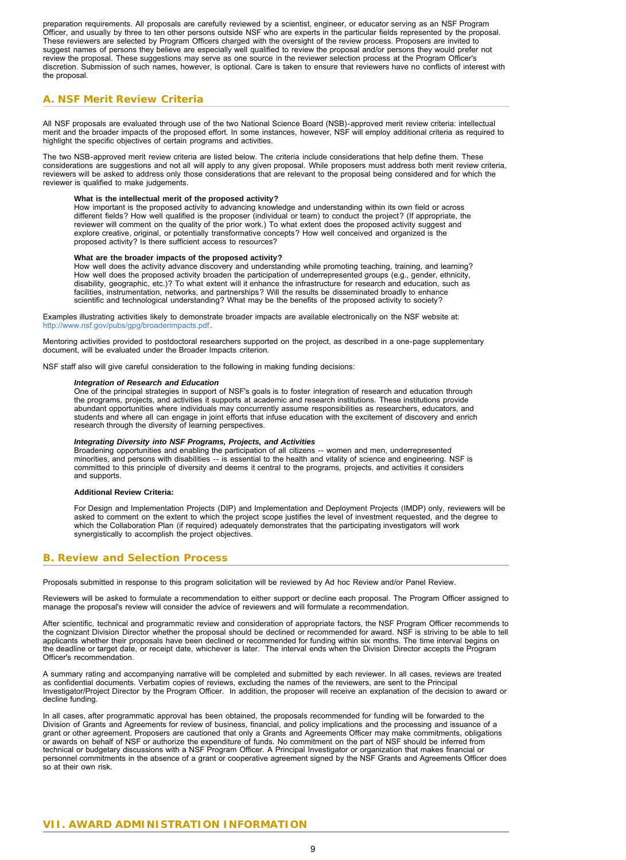preparation requirements. All proposals are carefully reviewed by a scientist, engineer, or educator serving as an NSF Program Officer, and usually by three to ten other persons outside NSF who are experts in the particular fields represented by the proposal. These reviewers are selected by Program Officers charged with the oversight of the review process. Proposers are invited to suggest names of persons they believe are especially well qualified to review the proposal and/or persons they would prefer not review the proposal. These suggestions may serve as one source in the reviewer selection process at the Program Officer's<br>discretion. Submission of such names, however, is optional. Care is taken to ensure that reviewers h the proposal.

# <span id="page-8-0"></span>**A. NSF Merit Review Criteria**

All NSF proposals are evaluated through use of the two National Science Board (NSB)-approved merit review criteria: intellectual merit and the broader impacts of the proposed effort. In some instances, however, NSF will employ additional criteria as required to highlight the specific objectives of certain programs and activities.

The two NSB-approved merit review criteria are listed below. The criteria include considerations that help define them. These considerations are suggestions and not all will apply to any given proposal. While proposers must address both merit review criteria, reviewers will be asked to address only those considerations that are relevant to the proposal being considered and for which the reviewer is qualified to make judgements.

**What is the intellectual merit of the proposed activity?**<br>How important is the proposed activity to advancing knowledge and understanding within its own field or across<br>different fields? How well qualified is the proposer reviewer will comment on the quality of the prior work.) To what extent does the proposed activity suggest and explore creative, original, or potentially transformative concepts? How well conceived and organized is the proposed activity? Is there sufficient access to resources?

#### **What are the broader impacts of the proposed activity?**

How well does the activity advance discovery and understanding while promoting teaching, training, and learning? How well does the proposed activity broaden the participation of underrepresented groups (e.g., gender, ethnicity, disability, geographic, etc.)? To what extent will it enhance the infrastructure for research and education, such as facilities, instrumentation, networks, and partnerships? Will the results be disseminated broadly to enhance scientific and technological understanding? What may be the benefits of the proposed activity to society?

Examples illustrating activities likely to demonstrate broader impacts are available electronically on the NSF website at: [http://www.nsf.gov/pubs/gpg/broaderimpacts.pdf.](http://www.nsf.gov/pubs/gpg/broaderimpacts.pdf)

Mentoring activities provided to postdoctoral researchers supported on the project, as described in a one-page supplementary document, will be evaluated under the Broader Impacts criterion.

NSF staff also will give careful consideration to the following in making funding decisions:

#### *Integration of Research and Education*

One of the principal strategies in support of NSF's goals is to foster integration of research and education through the programs, projects, and activities it supports at academic and research institutions. These institutions provide abundant opportunities where individuals may concurrently assume responsibilities as researchers, educators, and<br>students and where all can engage in joint efforts that infuse education with the excitement of discovery and research through the diversity of learning perspectives.

#### *Integrating Diversity into NSF Programs, Projects, and Activities*

Broadening opportunities and enabling the participation of all citizens -- women and men, underrepresented minorities, and persons with disabilities -- is essential to the health and vitality of science and engineering. NSF is committed to this principle of diversity and deems it central to the programs, projects, and activities it considers and supports.

#### **Additional Review Criteria:**

For Design and Implementation Projects (DIP) and Implementation and Deployment Projects (IMDP) only, reviewers will be<br>asked to comment on the extent to which the project scope justifies the level of investment requested, which the Collaboration Plan (if required) adequately demonstrates that the participating investigators will work synergistically to accomplish the project objectives.

# <span id="page-8-1"></span>**B. Review and Selection Process**

Proposals submitted in response to this program solicitation will be reviewed by Ad hoc Review and/or Panel Review.

Reviewers will be asked to formulate a recommendation to either support or decline each proposal. The Program Officer assigned to manage the proposal's review will consider the advice of reviewers and will formulate a recommendation.

After scientific, technical and programmatic review and consideration of appropriate factors, the NSF Program Officer recommends to the cognizant Division Director whether the proposal should be declined or recommended for award. NSF is striving to be able to tell applicants whether their proposals have been declined or recommended for funding within six months. The time interval begins on<br>the deadline or target date, or receipt date, whichever is later. The interval ends when the Officer's recommendation.

A summary rating and accompanying narrative will be completed and submitted by each reviewer. In all cases, reviews are treated as confidential documents. Verbatim copies of reviews, excluding the names of the reviewers, are sent to the Principal Investigator/Project Director by the Program Officer. In addition, the proposer will receive an explanation of the decision to award or decline funding.

<span id="page-8-2"></span>In all cases, after programmatic approval has been obtained, the proposals recommended for funding will be forwarded to the Division of Grants and Agreements for review of business, financial, and policy implications and the processing and issuance of a grant or other agreement. Proposers are cautioned that only a Grants and Agreements Officer may make commitments, obligations or awards on behalf of NSF or authorize the expenditure of funds. No commitment on the part of NSF should be inferred from<br>technical or budgetary discussions with a NSF Program Officer. A Principal Investigator or organiza personnel commitments in the absence of a grant or cooperative agreement signed by the NSF Grants and Agreements Officer does so at their own risk.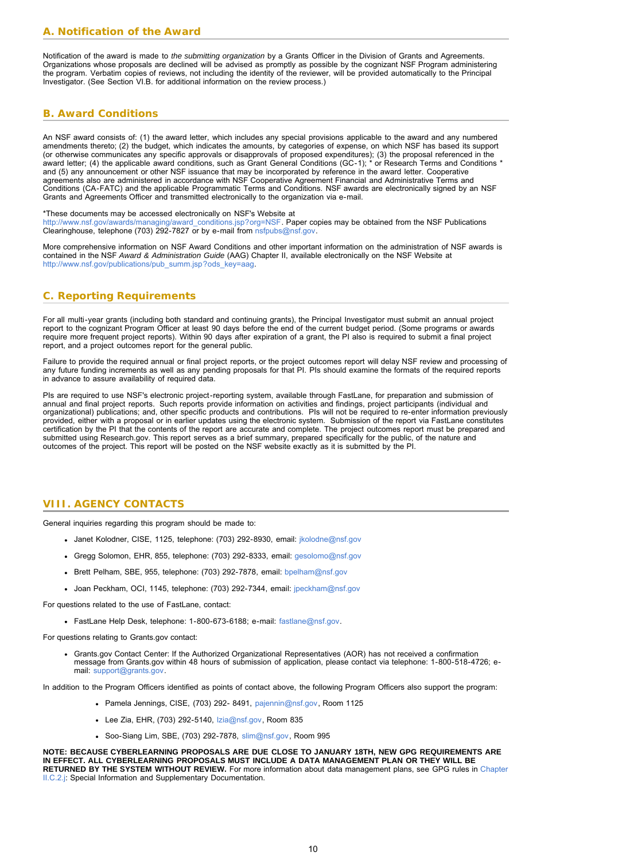<span id="page-9-0"></span>Notification of the award is made to *the submitting organization* by a Grants Officer in the Division of Grants and Agreements. Organizations whose proposals are declined will be advised as promptly as possible by the cognizant NSF Program administering the program. Verbatim copies of reviews, not including the identity of the reviewer, will be provided automatically to the Principal Investigator. (See Section VI.B. for additional information on the review process.)

# <span id="page-9-1"></span>**B. Award Conditions**

An NSF award consists of: (1) the award letter, which includes any special provisions applicable to the award and any numbered amendments thereto; (2) the budget, which indicates the amounts, by categories of expense, on which NSF has based its support (or otherwise communicates any specific approvals or disapprovals of proposed expenditures); (3) the proposal referenced in the award letter; (4) the applicable award conditions, such as Grant General Conditions (GC-1); \* or Research Terms and Conditions \* and (5) any announcement or other NSF issuance that may be incorporated by reference in the award letter. Cooperative agreements also are administered in accordance with NSF Cooperative Agreement Financial and Administrative Terms and Conditions (CA-FATC) and the applicable Programmatic Terms and Conditions. NSF awards are electronically signed by an NSF Grants and Agreements Officer and transmitted electronically to the organization via e-mail.

\*These documents may be accessed electronically on NSF's Website at

[http://www.nsf.gov/awards/managing/award\\_conditions.jsp?org=NSF](http://www.nsf.gov/awards/managing/award_conditions.jsp?org=NSF). Paper copies may be obtained from the NSF Publications Clearinghouse, telephone (703) 292-7827 or by e-mail from [nsfpubs@nsf.gov.](mailto:nsfpubs@nsf.gov)

More comprehensive information on NSF Award Conditions and other important information on the administration of NSF awards is contained in the NSF *Award & Administration Guide* (AAG) Chapter II, available electronically on the NSF Website at [http://www.nsf.gov/publications/pub\\_summ.jsp?ods\\_key=aag](http://www.nsf.gov/publications/pub_summ.jsp?ods_key=aag).

# <span id="page-9-2"></span>**C. Reporting Requirements**

For all multi-year grants (including both standard and continuing grants), the Principal Investigator must submit an annual project report to the cognizant Program Officer at least 90 days before the end of the current budget period. (Some programs or awards require more frequent project reports). Within 90 days after expiration of a grant, the PI also is required to submit a final project report, and a project outcomes report for the general public.

Failure to provide the required annual or final project reports, or the project outcomes report will delay NSF review and processing of<br>any future funding increments as well as any pending proposals for that PI. PIs should in advance to assure availability of required data.

PIs are required to use NSF's electronic project-reporting system, available through FastLane, for preparation and submission of annual and final project reports. Such reports provide information on activities and findings, project participants (individual and organizational) publications; and, other specific products and contributions. PIs will not be required to re-enter information previously provided, either with a proposal or in earlier updates using the electronic system. Submission of the report via FastLane constitutes certification by the PI that the contents of the report are accurate and complete. The project outcomes report must be prepared and submitted using Research.gov. This report serves as a brief summary, prepared specifically for the public, of the nature and outcomes of the project. This report will be posted on the NSF website exactly as it is submitted by the PI.

# <span id="page-9-3"></span>**VIII. AGENCY CONTACTS**

General inquiries regarding this program should be made to:

- Janet Kolodner, CISE, 1125, telephone: (703) 292-8930, email: *jkolodne@nsf.gov*
- Gregg Solomon, EHR, 855, telephone: (703) 292-8333, email: [gesolomo@nsf.gov](mailto:gesolomo@nsf.gov)
- Brett Pelham, SBE, 955, telephone: (703) 292-7878, email: [bpelham@nsf.gov](mailto:bpelham@nsf.gov)
- Joan Peckham, OCI, 1145, telephone: (703) 292-7344, email: [jpeckham@nsf.gov](mailto:jpeckham@nsf.gov)

For questions related to the use of FastLane, contact:

• FastLane Help Desk, telephone: 1-800-673-6188; e-mail: [fastlane@nsf.gov.](mailto:fastlane@nsf.gov)

For questions relating to Grants.gov contact:

Grants.gov Contact Center: If the Authorized Organizational Representatives (AOR) has not received a confirmation message from Grants.gov within 48 hours of submission of application, please contact via telephone: 1-800-518-4726; email: [support@grants.gov](mailto:support@grants.gov).

In addition to the Program Officers identified as points of contact above, the following Program Officers also support the program:

- Pamela Jennings, CISE, (703) 292- 8491, [pajennin@nsf.gov,](mailto:pajennin@nsf.gov) Room 1125
- Lee Zia, EHR, (703) 292-5140, Izia@nsf.gov, Room 835
- Soo-Siang Lim, SBE, (703) 292-7878, [slim@nsf.gov,](mailto:slim@nsf.gov) Room 995

**NOTE: BECAUSE CYBERLEARNING PROPOSALS ARE DUE CLOSE TO JANUARY 18TH, NEW GPG REQUIREMENTS ARE IN EFFECT. ALL CYBERLEARNING PROPOSALS MUST INCLUDE A DATA MANAGEMENT PLAN OR THEY WILL BE RETURNED BY THE SYSTEM WITHOUT REVIEW.** For more information about data management plans, see GPG rules in [Chapter](http://www.nsf.gov/pubs/policydocs/pappguide/nsf11001/gpg_2.jsp#IIC2j) [II.C.2.j:](http://www.nsf.gov/pubs/policydocs/pappguide/nsf11001/gpg_2.jsp#IIC2j) Special Information and Supplementary Documentation.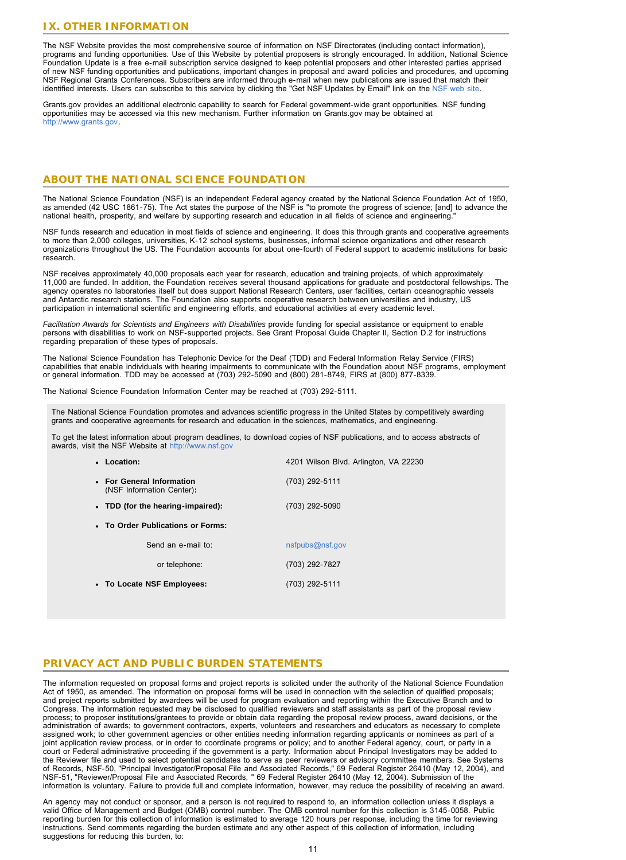# <span id="page-10-0"></span>**IX. OTHER INFORMATION**

The NSF Website provides the most comprehensive source of information on NSF Directorates (including contact information), programs and funding opportunities. Use of this Website by potential proposers is strongly encouraged. In addition, National Science Foundation Update is a free e-mail subscription service designed to keep potential proposers and other interested parties apprised of new NSF funding opportunities and publications, important changes in proposal and award policies and procedures, and upcoming NSF Regional Grants Conferences. Subscribers are informed through e-mail when new publications are issued that match their identified interests. Users can subscribe to this service by clicking the "Get NSF Updates by Email" link on the [NSF web site.](http://www.nsf.gov/)

Grants.gov provides an additional electronic capability to search for Federal government-wide grant opportunities. NSF funding opportunities may be accessed via this new mechanism. Further information on Grants.gov may be obtained at [http://www.grants.gov.](http://www.grants.gov/)

# **ABOUT THE NATIONAL SCIENCE FOUNDATION**

The National Science Foundation (NSF) is an independent Federal agency created by the National Science Foundation Act of 1950,<br>as amended (42 USC 1861-75). The Act states the purpose of the NSF is "to promote the progress

NSF funds research and education in most fields of science and engineering. It does this through grants and cooperative agreements<br>to more than 2,000 colleges, universities, K-12 school systems, businesses, informal scienc organizations throughout the US. The Foundation accounts for about one-fourth of Federal support to academic institutions for basic research.

NSF receives approximately 40,000 proposals each year for research, education and training projects, of which approximately 11,000 are funded. In addition, the Foundation receives several thousand applications for graduate and postdoctoral fellowships. The agency operates no laboratories itself but does support National Research Centers, user facilities, certain oceanographic vessels and Antarctic research stations. The Foundation also supports cooperative research between universities and industry, US participation in international scientific and engineering efforts, and educational activities at every academic level.

*Facilitation Awards for Scientists and Engineers with Disabilities* provide funding for special assistance or equipment to enable persons with disabilities to work on NSF-supported projects. See Grant Proposal Guide Chapter II, Section D.2 for instructions regarding preparation of these types of proposals.

The National Science Foundation has Telephonic Device for the Deaf (TDD) and Federal Information Relay Service (FIRS) capabilities that enable individuals with hearing impairments to communicate with the Foundation about NSF programs, employment or general information. TDD may be accessed at (703) 292-5090 and (800) 281-8749, FIRS at (800) 877-8339.

The National Science Foundation Information Center may be reached at (703) 292-5111.

The National Science Foundation promotes and advances scientific progress in the United States by competitively awarding grants and cooperative agreements for research and education in the sciences, mathematics, and engineering.

To get the latest information about program deadlines, to download copies of NSF publications, and to access abstracts of awards, visit the NSF Website at [http://www.nsf.gov](http://www.nsf.gov/)

| • Location:                                            | 4201 Wilson Blvd. Arlington, VA 22230 |  |  |  |  |  |  |
|--------------------------------------------------------|---------------------------------------|--|--|--|--|--|--|
| • For General Information<br>(NSF Information Center): | $(703)$ 292-5111                      |  |  |  |  |  |  |
| • TDD (for the hearing-impaired):                      | (703) 292-5090                        |  |  |  |  |  |  |
| • To Order Publications or Forms:                      |                                       |  |  |  |  |  |  |
| Send an e-mail to:                                     | nsfpubs@nsf.gov                       |  |  |  |  |  |  |
| or telephone:                                          | (703) 292-7827                        |  |  |  |  |  |  |
| • To Locate NSF Employees:                             | (703) 292-5111                        |  |  |  |  |  |  |

# **PRIVACY ACT AND PUBLIC BURDEN STATEMENTS**

The information requested on proposal forms and project reports is solicited under the authority of the National Science Foundation Act of 1950, as amended. The information on proposal forms will be used in connection with the selection of qualified proposals;<br>and project reports submitted by awardees will be used for program evaluation and reporting w Congress. The information requested may be disclosed to qualified reviewers and staff assistants as part of the proposal review process; to proposer institutions/grantees to provide or obtain data regarding the proposal review process, award decisions, or the administration of awards; to government contractors, experts, volunteers and researchers and educators as necessary to complete<br>assigned work; to other government agencies or other entities needing information regarding ap joint application review process, or in order to coordinate programs or policy; and to another Federal agency, court, or party in a<br>court or Federal administrative proceeding if the government is a party. Information about the Reviewer file and used to select potential candidates to serve as peer reviewers or advisory committee members. See Systems of Records, NSF-50, "Principal Investigator/Proposal File and Associated Records," 69 Federal Register 26410 (May 12, 2004), and<br>NSF-51, "Reviewer/Proposal File and Associated Records, " 69 Federal Register 26410 (May 12, information is voluntary. Failure to provide full and complete information, however, may reduce the possibility of receiving an award.

An agency may not conduct or sponsor, and a person is not required to respond to, an information collection unless it displays a valid Office of Management and Budget (OMB) control number. The OMB control number for this collection is 3145-0058. Public reporting burden for this collection of information is estimated to average 120 hours per response, including the time for reviewing instructions. Send comments regarding the burden estimate and any other aspect of this collection of information, including suggestions for reducing this burden, to: